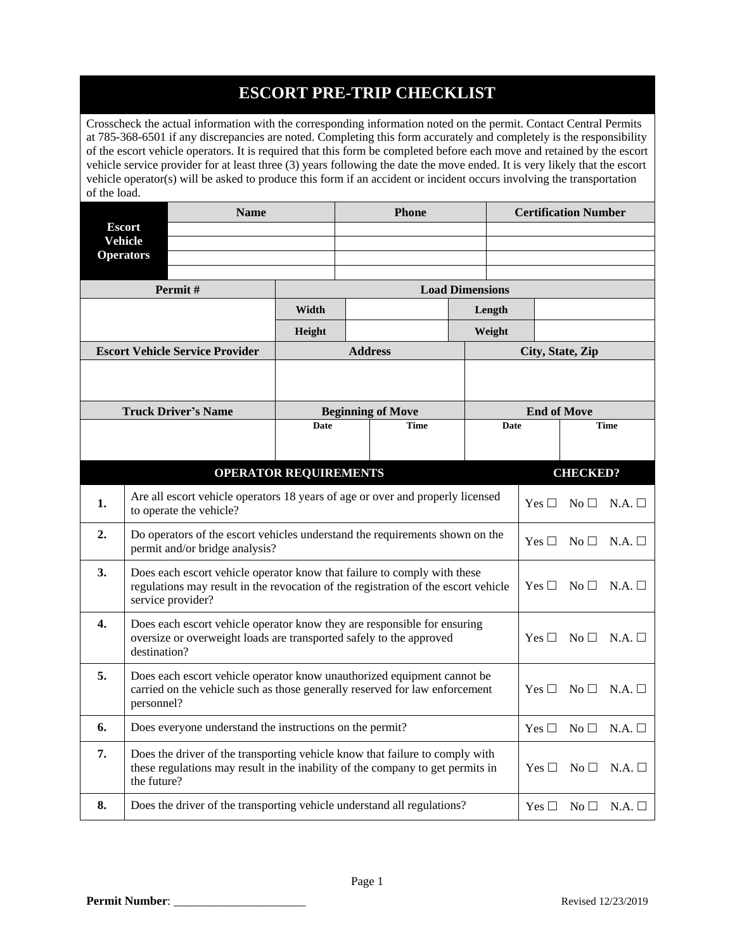## **ESCORT PRE-TRIP CHECKLIST**

Crosscheck the actual information with the corresponding information noted on the permit. Contact Central Permits at 785-368-6501 if any discrepancies are noted. Completing this form accurately and completely is the responsibility of the escort vehicle operators. It is required that this form be completed before each move and retained by the escort vehicle service provider for at least three (3) years following the date the move ended. It is very likely that the escort vehicle operator(s) will be asked to produce this form if an accident or incident occurs involving the transportation of the load.

|                                                                |                                                                                                                                                                 | <b>Name</b>                            |                                                                                                                                                                | <b>Phone</b>                                                                                                                                                   |                          |               | <b>Certification Number</b> |                  |                              |               |
|----------------------------------------------------------------|-----------------------------------------------------------------------------------------------------------------------------------------------------------------|----------------------------------------|----------------------------------------------------------------------------------------------------------------------------------------------------------------|----------------------------------------------------------------------------------------------------------------------------------------------------------------|--------------------------|---------------|-----------------------------|------------------|------------------------------|---------------|
| <b>Escort</b>                                                  |                                                                                                                                                                 |                                        |                                                                                                                                                                |                                                                                                                                                                |                          |               |                             |                  |                              |               |
| <b>Vehicle</b><br><b>Operators</b>                             |                                                                                                                                                                 |                                        |                                                                                                                                                                |                                                                                                                                                                |                          |               |                             |                  |                              |               |
|                                                                |                                                                                                                                                                 |                                        |                                                                                                                                                                |                                                                                                                                                                |                          |               |                             |                  |                              |               |
|                                                                |                                                                                                                                                                 | Permit#                                |                                                                                                                                                                | <b>Load Dimensions</b>                                                                                                                                         |                          |               |                             |                  |                              |               |
|                                                                |                                                                                                                                                                 |                                        | Width<br>Length                                                                                                                                                |                                                                                                                                                                |                          |               |                             |                  |                              |               |
|                                                                |                                                                                                                                                                 |                                        | Height                                                                                                                                                         | Weight                                                                                                                                                         |                          |               |                             |                  |                              |               |
|                                                                |                                                                                                                                                                 | <b>Escort Vehicle Service Provider</b> |                                                                                                                                                                |                                                                                                                                                                | <b>Address</b>           |               |                             | City, State, Zip |                              |               |
|                                                                |                                                                                                                                                                 |                                        |                                                                                                                                                                |                                                                                                                                                                |                          |               |                             |                  |                              |               |
|                                                                |                                                                                                                                                                 | <b>Truck Driver's Name</b>             |                                                                                                                                                                |                                                                                                                                                                | <b>Beginning of Move</b> |               | <b>End of Move</b>          |                  |                              |               |
|                                                                |                                                                                                                                                                 |                                        | Date                                                                                                                                                           |                                                                                                                                                                | <b>Time</b>              |               | <b>Date</b>                 |                  |                              | <b>Time</b>   |
|                                                                |                                                                                                                                                                 |                                        |                                                                                                                                                                |                                                                                                                                                                |                          |               |                             |                  |                              |               |
|                                                                |                                                                                                                                                                 |                                        | <b>OPERATOR REQUIREMENTS</b>                                                                                                                                   |                                                                                                                                                                |                          |               |                             |                  | <b>CHECKED?</b>              |               |
| 1.<br>to operate the vehicle?                                  |                                                                                                                                                                 |                                        | Are all escort vehicle operators 18 years of age or over and properly licensed                                                                                 |                                                                                                                                                                |                          | Yes $\square$ | $\rm No~\Box$               | N.A.             |                              |               |
| 2.<br>permit and/or bridge analysis?                           |                                                                                                                                                                 |                                        | Do operators of the escort vehicles understand the requirements shown on the                                                                                   |                                                                                                                                                                |                          |               | $Yes \Box No \Box$          | N.A.             |                              |               |
| 3.<br>service provider?                                        |                                                                                                                                                                 |                                        | Does each escort vehicle operator know that failure to comply with these<br>regulations may result in the revocation of the registration of the escort vehicle |                                                                                                                                                                |                          | Yes $\square$ | $No \square$                | N.A.             |                              |               |
| 4.                                                             | Does each escort vehicle operator know they are responsible for ensuring<br>oversize or overweight loads are transported safely to the approved<br>destination? |                                        |                                                                                                                                                                |                                                                                                                                                                |                          |               |                             | Yes $\Box$       | $\rm No \ \Box$              | $N.A.$ $\Box$ |
| 5.<br>personnel?                                               |                                                                                                                                                                 |                                        |                                                                                                                                                                | Does each escort vehicle operator know unauthorized equipment cannot be<br>carried on the vehicle such as those generally reserved for law enforcement         |                          |               | Yes $\Box$                  | No $\Box$        | $N.A.$ $\Box$                |               |
| 6.<br>Does everyone understand the instructions on the permit? |                                                                                                                                                                 |                                        |                                                                                                                                                                |                                                                                                                                                                |                          |               | Yes $\square$               | No $\square$     | N.A.                         |               |
| 7.<br>the future?                                              |                                                                                                                                                                 |                                        |                                                                                                                                                                | Does the driver of the transporting vehicle know that failure to comply with<br>these regulations may result in the inability of the company to get permits in |                          |               | Yes $\square$               | $No \square$     | N.A.                         |               |
| 8.                                                             | Does the driver of the transporting vehicle understand all regulations?                                                                                         |                                        |                                                                                                                                                                |                                                                                                                                                                |                          |               |                             |                  | $Yes \Box No \Box N.A. \Box$ |               |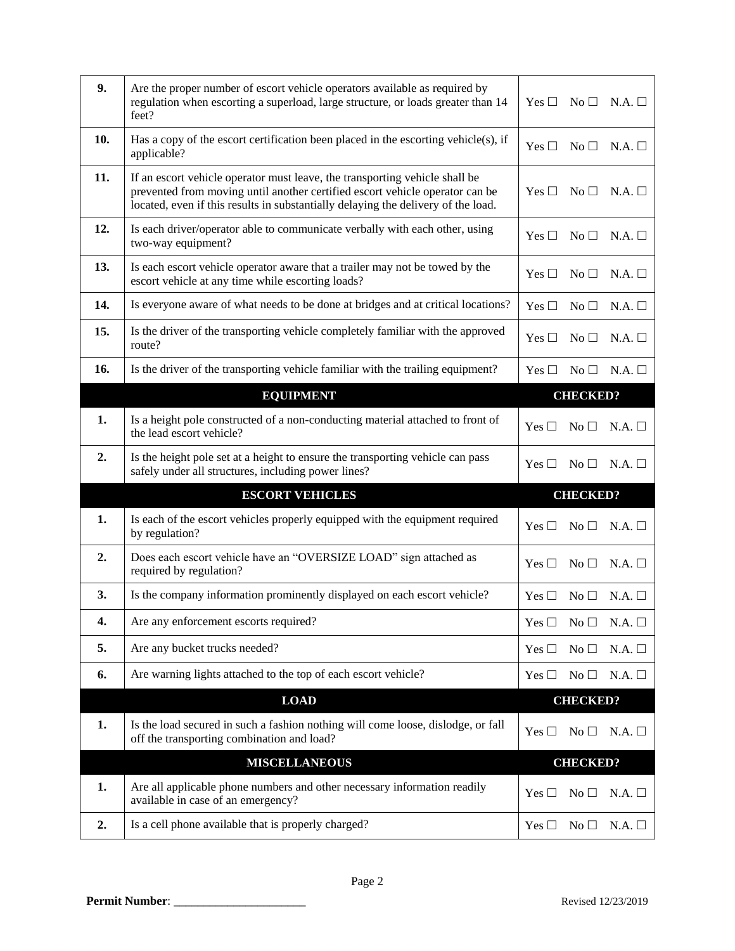| 9.  | Are the proper number of escort vehicle operators available as required by<br>regulation when escorting a superload, large structure, or loads greater than 14<br>feet?                                                                          | $No \Box$ N.A. $\Box$<br>Yes $\Box$            |
|-----|--------------------------------------------------------------------------------------------------------------------------------------------------------------------------------------------------------------------------------------------------|------------------------------------------------|
| 10. | Has a copy of the escort certification been placed in the escorting vehicle $(s)$ , if<br>applicable?                                                                                                                                            | Yes $\square$<br>No <sub>1</sub><br>N.A.       |
| 11. | If an escort vehicle operator must leave, the transporting vehicle shall be<br>prevented from moving until another certified escort vehicle operator can be<br>located, even if this results in substantially delaying the delivery of the load. | Yes $\square$<br>No <sub>1</sub><br>N.A.       |
| 12. | Is each driver/operator able to communicate verbally with each other, using<br>two-way equipment?                                                                                                                                                | N.A.<br>Yes $\Box$<br>$\rm No \,\Box$          |
| 13. | Is each escort vehicle operator aware that a trailer may not be towed by the<br>escort vehicle at any time while escorting loads?                                                                                                                | Yes $\Box$<br>No <sub>1</sub><br>N.A.          |
| 14. | Is everyone aware of what needs to be done at bridges and at critical locations?                                                                                                                                                                 | Yes $\Box$<br>$No \square$<br>N.A.             |
| 15. | Is the driver of the transporting vehicle completely familiar with the approved<br>route?                                                                                                                                                        | Yes $\Box$<br>No <sub>1</sub><br>N.A.          |
| 16. | Is the driver of the transporting vehicle familiar with the trailing equipment?                                                                                                                                                                  | Yes $\square$<br>$No \square$<br>N.A.          |
|     | <b>EQUIPMENT</b>                                                                                                                                                                                                                                 | <b>CHECKED?</b>                                |
| 1.  | Is a height pole constructed of a non-conducting material attached to front of<br>the lead escort vehicle?                                                                                                                                       | N.A.<br>Yes $\Box$<br>No <sub>1</sub>          |
| 2.  | Is the height pole set at a height to ensure the transporting vehicle can pass<br>safely under all structures, including power lines?                                                                                                            | Yes $\square$<br>No <sub>1</sub><br>N.A.       |
|     | <b>ESCORT VEHICLES</b>                                                                                                                                                                                                                           | <b>CHECKED?</b>                                |
| 1.  | Is each of the escort vehicles properly equipped with the equipment required<br>by regulation?                                                                                                                                                   | Yes $\square$<br>$No \square$<br>N.A.          |
| 2.  | Does each escort vehicle have an "OVERSIZE LOAD" sign attached as<br>required by regulation?                                                                                                                                                     | No <sub>1</sub><br>N.A.<br>Yes $\square$       |
| 3.  | Is the company information prominently displayed on each escort vehicle?                                                                                                                                                                         | $N.A.$ $\Box$<br>Yes $\Box$<br>No <sub>1</sub> |
| 4.  | Are any enforcement escorts required?                                                                                                                                                                                                            | Yes $\square$<br>No <sub>1</sub><br>N.A.       |
| 5.  | Are any bucket trucks needed?                                                                                                                                                                                                                    | No <sub>1</sub><br>N.A.<br>Yes $\Box$          |
| 6.  | Are warning lights attached to the top of each escort vehicle?                                                                                                                                                                                   | $No \square$<br>N.A.<br>Yes $\Box$             |
|     | <b>LOAD</b>                                                                                                                                                                                                                                      | <b>CHECKED?</b>                                |
| 1.  | Is the load secured in such a fashion nothing will come loose, dislodge, or fall<br>off the transporting combination and load?                                                                                                                   | $No \square$<br>N.A.<br>Yes $\square$          |
|     | <b>MISCELLANEOUS</b>                                                                                                                                                                                                                             | <b>CHECKED?</b>                                |
| 1.  | Are all applicable phone numbers and other necessary information readily<br>available in case of an emergency?                                                                                                                                   | $No \square$<br>N.A.<br>Yes $\Box$             |
| 2.  | Is a cell phone available that is properly charged?                                                                                                                                                                                              | $No \square$<br>Yes $\square$<br>N.A.          |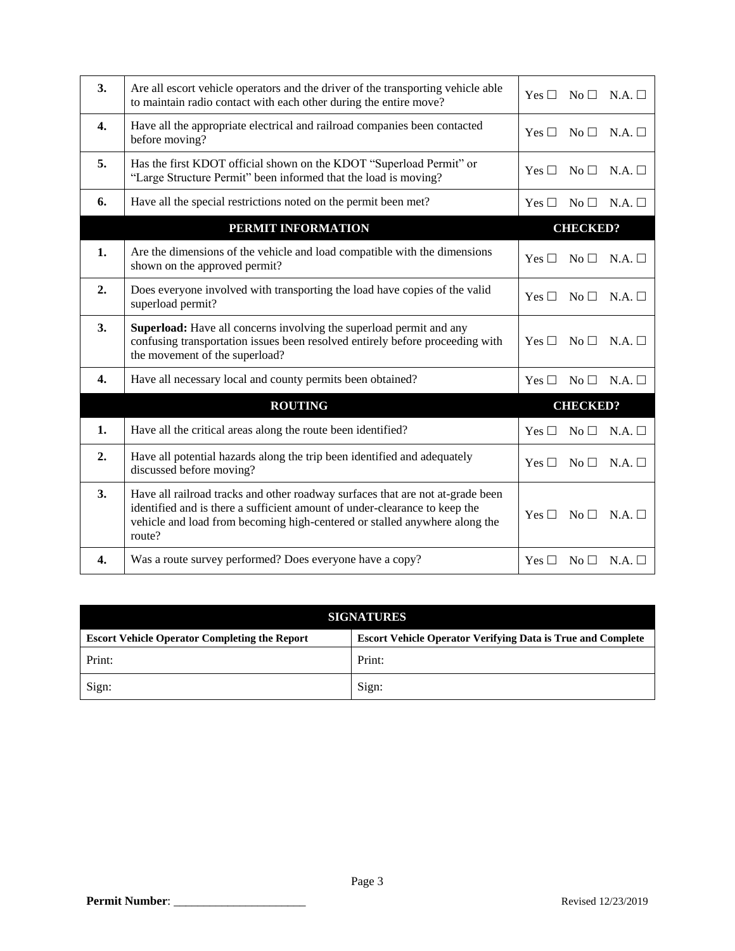| 3.               | Are all escort vehicle operators and the driver of the transporting vehicle able<br>to maintain radio contact with each other during the entire move?                                                                                                | No <sub>1</sub><br>N.A.<br>Yes $\Box$    |
|------------------|------------------------------------------------------------------------------------------------------------------------------------------------------------------------------------------------------------------------------------------------------|------------------------------------------|
| $\mathbf{4}$     | Have all the appropriate electrical and railroad companies been contacted<br>before moving?                                                                                                                                                          | Yes $\Box$<br>No <sub>1</sub><br>N.A.    |
| 5.               | Has the first KDOT official shown on the KDOT "Superload Permit" or<br>"Large Structure Permit" been informed that the load is moving?                                                                                                               | Yes $\Box$<br>No <sub>1</sub><br>N.A.    |
| 6.               | Have all the special restrictions noted on the permit been met?                                                                                                                                                                                      | $No \square$<br>N.A.<br>Yes $\Box$       |
|                  | PERMIT INFORMATION                                                                                                                                                                                                                                   | <b>CHECKED?</b>                          |
| 1.               | Are the dimensions of the vehicle and load compatible with the dimensions<br>shown on the approved permit?                                                                                                                                           | Yes $\square$<br>No <sub>1</sub><br>N.A. |
| 2.               | Does everyone involved with transporting the load have copies of the valid<br>superload permit?                                                                                                                                                      | Yes $\Box$<br>No <sub>1</sub><br>N.A.    |
| 3.               | Superload: Have all concerns involving the superload permit and any<br>confusing transportation issues been resolved entirely before proceeding with<br>the movement of the superload?                                                               | Yes $\square$<br>No <sub>1</sub><br>N.A. |
| 4.               | Have all necessary local and county permits been obtained?                                                                                                                                                                                           | N.A.<br>Yes $\Box$<br>No <sub>1</sub>    |
|                  | <b>ROUTING</b>                                                                                                                                                                                                                                       | <b>CHECKED?</b>                          |
| 1.               | Have all the critical areas along the route been identified?                                                                                                                                                                                         | No <sub>1</sub><br>N.A.<br>Yes $\Box$    |
| 2.               | Have all potential hazards along the trip been identified and adequately<br>discussed before moving?                                                                                                                                                 | N.A.<br>Yes $\Box$<br>No <sub>1</sub>    |
| 3.               | Have all railroad tracks and other roadway surfaces that are not at-grade been<br>identified and is there a sufficient amount of under-clearance to keep the<br>vehicle and load from becoming high-centered or stalled anywhere along the<br>route? | Yes $\Box$<br>N.A.<br>No <sub>1</sub>    |
| $\overline{4}$ . | Was a route survey performed? Does everyone have a copy?                                                                                                                                                                                             | No <sub>1</sub><br>N.A.<br>Yes $\Box$    |

| <b>SIGNATURES</b>                                    |                                                                    |  |  |
|------------------------------------------------------|--------------------------------------------------------------------|--|--|
| <b>Escort Vehicle Operator Completing the Report</b> | <b>Escort Vehicle Operator Verifying Data is True and Complete</b> |  |  |
| Print:                                               | Print:                                                             |  |  |
| Sign:                                                | Sign:                                                              |  |  |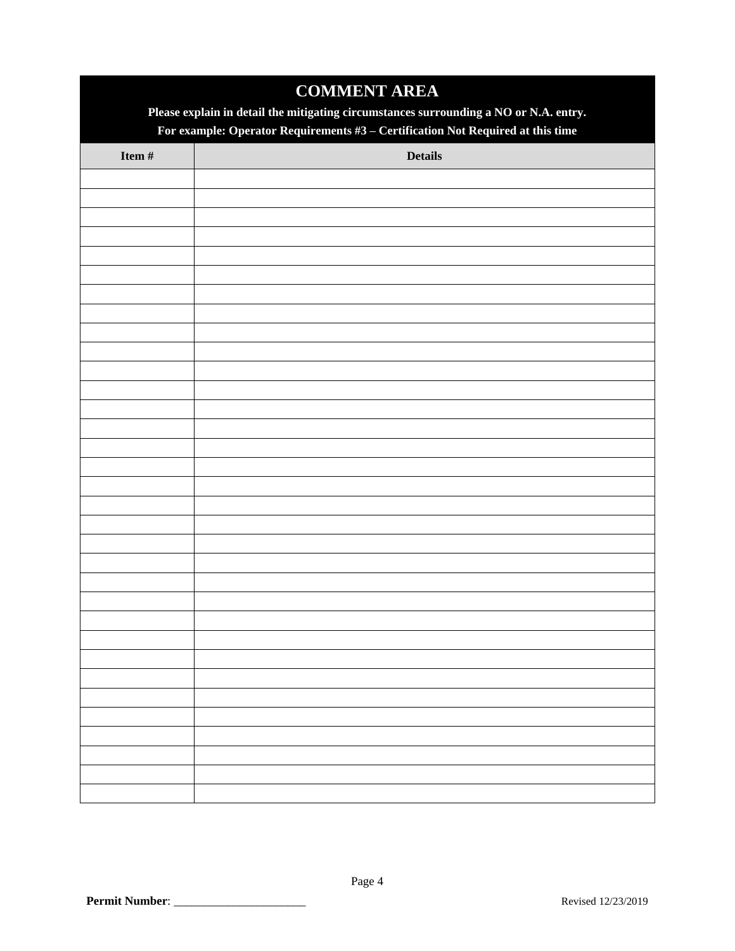| <b>COMMENT AREA</b>                                                                   |                |  |  |  |
|---------------------------------------------------------------------------------------|----------------|--|--|--|
| Please explain in detail the mitigating circumstances surrounding a NO or N.A. entry. |                |  |  |  |
| For example: Operator Requirements $#3$ – Certification Not Required at this time     |                |  |  |  |
| Item #                                                                                | <b>Details</b> |  |  |  |
|                                                                                       |                |  |  |  |
|                                                                                       |                |  |  |  |
|                                                                                       |                |  |  |  |
|                                                                                       |                |  |  |  |
|                                                                                       |                |  |  |  |
|                                                                                       |                |  |  |  |
|                                                                                       |                |  |  |  |
|                                                                                       |                |  |  |  |
|                                                                                       |                |  |  |  |
|                                                                                       |                |  |  |  |
|                                                                                       |                |  |  |  |
|                                                                                       |                |  |  |  |
|                                                                                       |                |  |  |  |
|                                                                                       |                |  |  |  |
|                                                                                       |                |  |  |  |
|                                                                                       |                |  |  |  |
|                                                                                       |                |  |  |  |
|                                                                                       |                |  |  |  |
|                                                                                       |                |  |  |  |
|                                                                                       |                |  |  |  |
|                                                                                       |                |  |  |  |
|                                                                                       |                |  |  |  |
|                                                                                       |                |  |  |  |
|                                                                                       |                |  |  |  |
|                                                                                       |                |  |  |  |
|                                                                                       |                |  |  |  |
|                                                                                       |                |  |  |  |
|                                                                                       |                |  |  |  |
|                                                                                       |                |  |  |  |
|                                                                                       |                |  |  |  |
|                                                                                       |                |  |  |  |
|                                                                                       |                |  |  |  |
|                                                                                       |                |  |  |  |